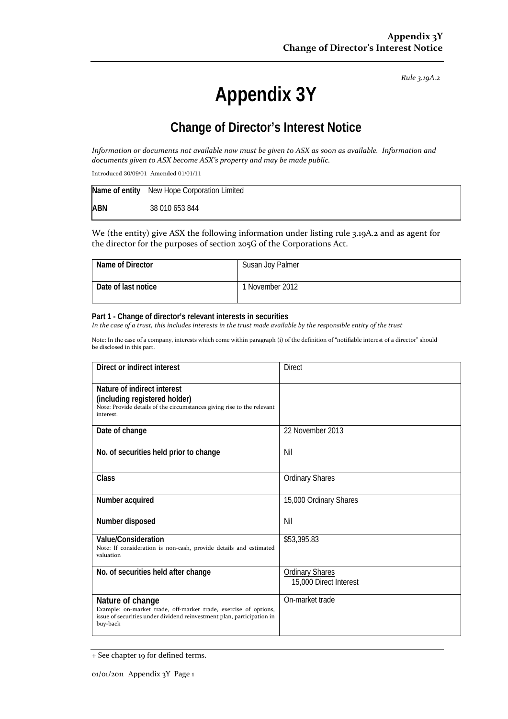*Rule 3.19A.2*

# **Appendix 3Y**

# **Change of Director's Interest Notice**

Information or documents not available now must be given to ASX as soon as available. Information and *documents given to ASX become ASX's property and may be made public.*

Introduced 30/09/01 Amended 01/01/11

|            | Name of entity New Hope Corporation Limited |
|------------|---------------------------------------------|
| <b>ABN</b> | 38 010 653 844                              |

We (the entity) give ASX the following information under listing rule 3.19A.2 and as agent for the director for the purposes of section 205G of the Corporations Act.

| Name of Director    | Susan Joy Palmer |
|---------------------|------------------|
| Date of last notice | 1 November 2012  |

#### **Part 1 - Change of director's relevant interests in securities**

In the case of a trust, this includes interests in the trust made available by the responsible entity of the trust

Note: In the case of a company, interests which come within paragraph (i) of the definition of "notifiable interest of a director" should be disclosed in this part.

| Direct or indirect interest                                                                                                                                                | <b>Direct</b>                                    |
|----------------------------------------------------------------------------------------------------------------------------------------------------------------------------|--------------------------------------------------|
| Nature of indirect interest<br>(including registered holder)<br>Note: Provide details of the circumstances giving rise to the relevant<br>interest.                        |                                                  |
| Date of change                                                                                                                                                             | 22 November 2013                                 |
| No. of securities held prior to change                                                                                                                                     | Nil                                              |
| Class                                                                                                                                                                      | <b>Ordinary Shares</b>                           |
| Number acquired                                                                                                                                                            | 15,000 Ordinary Shares                           |
| Number disposed                                                                                                                                                            | Nil                                              |
| Value/Consideration<br>Note: If consideration is non-cash, provide details and estimated<br>valuation                                                                      | \$53,395.83                                      |
| No. of securities held after change                                                                                                                                        | <b>Ordinary Shares</b><br>15,000 Direct Interest |
| Nature of change<br>Example: on-market trade, off-market trade, exercise of options,<br>issue of securities under dividend reinvestment plan, participation in<br>buy-back | On-market trade                                  |

<sup>+</sup> See chapter 19 for defined terms.